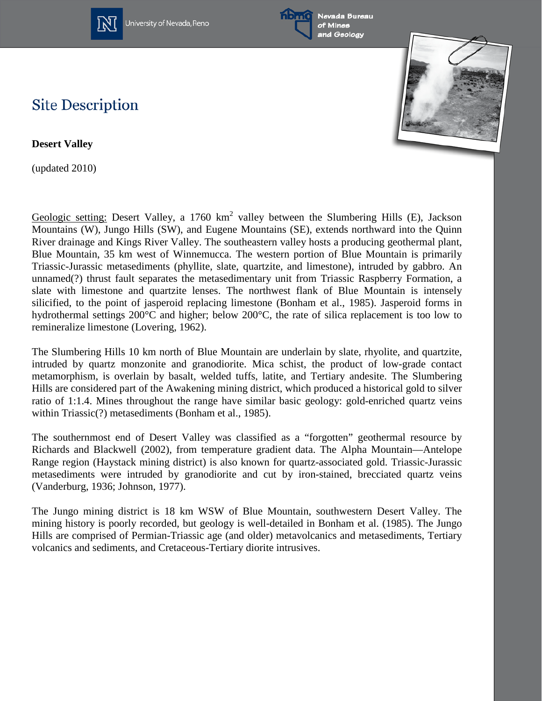

University of Nevada, Reno





## **Site Description**

**Desert Valley**

(updated 2010)

Geologic setting: Desert Valley, a 1760 km<sup>2</sup> valley between the Slumbering Hills (E), Jackson Mountains (W), Jungo Hills (SW), and Eugene Mountains (SE), extends northward into the Quinn River drainage and Kings River Valley. The southeastern valley hosts a producing geothermal plant, Blue Mountain, 35 km west of Winnemucca. The western portion of Blue Mountain is primarily Triassic-Jurassic metasediments (phyllite, slate, quartzite, and limestone), intruded by gabbro. An unnamed(?) thrust fault separates the metasedimentary unit from Triassic Raspberry Formation, a slate with limestone and quartzite lenses. The northwest flank of Blue Mountain is intensely silicified, to the point of jasperoid replacing limestone (Bonham et al., 1985). Jasperoid forms in hydrothermal settings 200°C and higher; below 200°C, the rate of silica replacement is too low to remineralize limestone (Lovering, 1962).

The Slumbering Hills 10 km north of Blue Mountain are underlain by slate, rhyolite, and quartzite, intruded by quartz monzonite and granodiorite. Mica schist, the product of low-grade contact metamorphism, is overlain by basalt, welded tuffs, latite, and Tertiary andesite. The Slumbering Hills are considered part of the Awakening mining district, which produced a historical gold to silver ratio of 1:1.4. Mines throughout the range have similar basic geology: gold-enriched quartz veins within Triassic(?) metasediments (Bonham et al., 1985).

The southernmost end of Desert Valley was classified as a "forgotten" geothermal resource by Richards and Blackwell (2002), from temperature gradient data. The Alpha Mountain—Antelope Range region (Haystack mining district) is also known for quartz-associated gold. Triassic-Jurassic metasediments were intruded by granodiorite and cut by iron-stained, brecciated quartz veins (Vanderburg, 1936; Johnson, 1977).

The Jungo mining district is 18 km WSW of Blue Mountain, southwestern Desert Valley. The mining history is poorly recorded, but geology is well-detailed in Bonham et al. (1985). The Jungo Hills are comprised of Permian-Triassic age (and older) metavolcanics and metasediments, Tertiary volcanics and sediments, and Cretaceous-Tertiary diorite intrusives.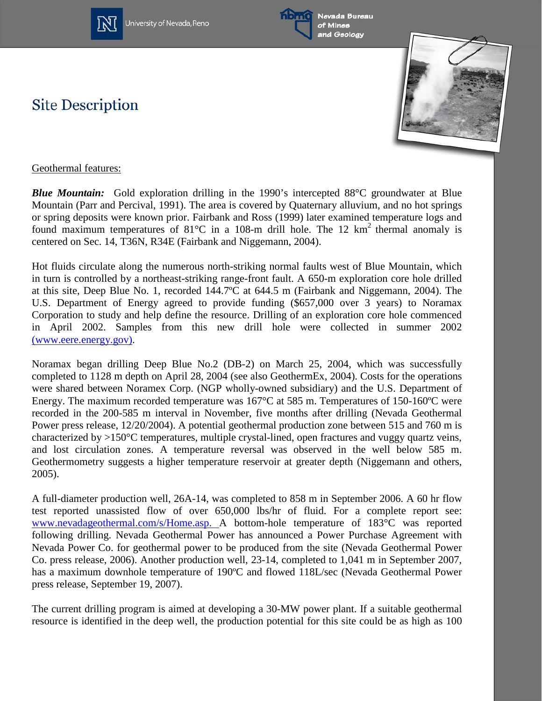

University of Nevada, Reno



Nevada Bureau of Mines and Geology





## Geothermal features:

**Site Description** 

*Blue Mountain:* Gold exploration drilling in the 1990's intercepted 88<sup>o</sup>C groundwater at Blue Mountain (Parr and Percival, 1991). The area is covered by Quaternary alluvium, and no hot springs or spring deposits were known prior. Fairbank and Ross (1999) later examined temperature logs and found maximum temperatures of  $81^{\circ}$ C in a 108-m drill hole. The 12 km<sup>2</sup> thermal anomaly is centered on Sec. 14, T36N, R34E (Fairbank and Niggemann, 2004).

Hot fluids circulate along the numerous north-striking normal faults west of Blue Mountain, which in turn is controlled by a northeast-striking range-front fault. A 650-m exploration core hole drilled at this site, Deep Blue No. 1, recorded 144.7ºC at 644.5 m (Fairbank and Niggemann, 2004). The U.S. Department of Energy agreed to provide funding (\$657,000 over 3 years) to Noramax Corporation to study and help define the resource. Drilling of an exploration core hole commenced in April 2002. Samples from this new drill hole were collected in summer 2002 [\(www.eere.energy.gov\).](http://www.eren.doe.gov/geothermal/)

Noramax began drilling Deep Blue No.2 (DB-2) on March 25, 2004, which was successfully completed to 1128 m depth on April 28, 2004 (see also GeothermEx, 2004). Costs for the operations were shared between Noramex Corp. (NGP wholly-owned subsidiary) and the U.S. Department of Energy. The maximum recorded temperature was 167°C at 585 m. Temperatures of 150-160ºC were recorded in the 200-585 m interval in November, five months after drilling (Nevada Geothermal Power press release, 12/20/2004). A potential geothermal production zone between 515 and 760 m is characterized by >150°C temperatures, multiple crystal-lined, open fractures and vuggy quartz veins, and lost circulation zones. A temperature reversal was observed in the well below 585 m. Geothermometry suggests a higher temperature reservoir at greater depth (Niggemann and others, 2005).

A full-diameter production well, 26A-14, was completed to 858 m in September 2006. A 60 hr flow test reported unassisted flow of over 650,000 lbs/hr of fluid. For a complete report see: [www.nevadageothermal.com/s/Home.asp. A](http://www.nevadageothermal.com/s/Home.asp) bottom-hole temperature of 183°C was reported following drilling. Nevada Geothermal Power has announced a Power Purchase Agreement with Nevada Power Co. for geothermal power to be produced from the site (Nevada Geothermal Power Co. press release, 2006). Another production well, 23-14, completed to 1,041 m in September 2007, has a maximum downhole temperature of 190ºC and flowed 118L/sec (Nevada Geothermal Power press release, September 19, 2007).

The current drilling program is aimed at developing a 30-MW power plant. If a suitable geothermal resource is identified in the deep well, the production potential for this site could be as high as 100